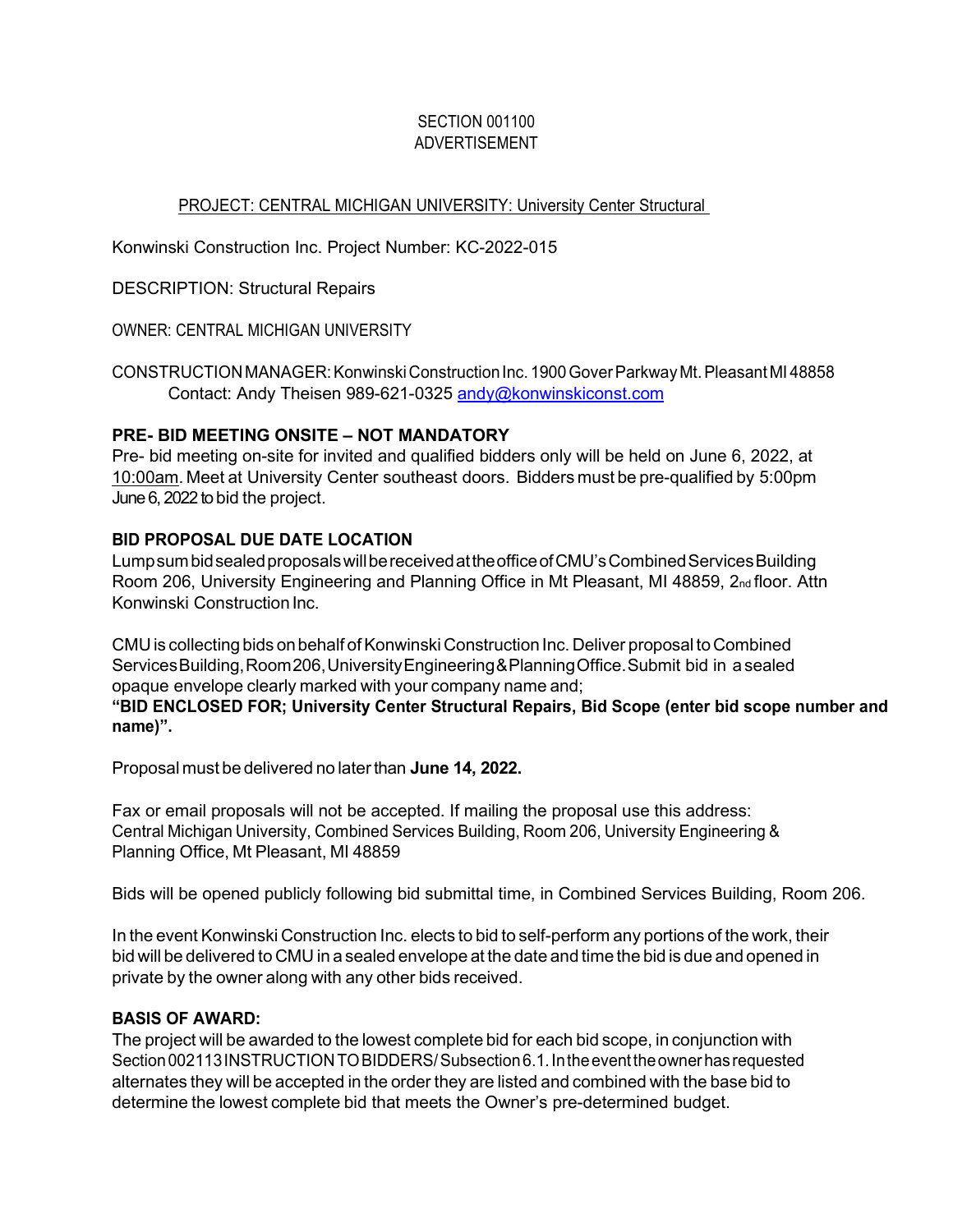#### SECTION 001100 ADVERTISEMENT

# PROJECT: CENTRAL MICHIGAN UNIVERSITY: University Center Structural

Konwinski Construction Inc. Project Number: KC-2022-015

DESCRIPTION: Structural Repairs

OWNER: CENTRAL MICHIGAN UNIVERSITY

CONSTRUCTIONMANAGER: Konwinski Construction Inc. 1900 Gover ParkwayMt. Pleasant MI 48858 Contact: Andy Theisen 989-621-0325 [andy@konwinskiconst.com](mailto:andy@konwinskiconst.com)

#### **PRE- BID MEETING ONSITE – NOT MANDATORY**

Pre- bid meeting on-site for invited and qualified bidders only will be held on June 6, 2022, at 10:00am. Meet at University Center southeast doors. Bidders must be pre-qualified by 5:00pm June 6, 2022 to bid the project.

#### **BID PROPOSAL DUE DATE LOCATION**

Lump sum bid sealed proposals will be received at the office of CMU's Combined Services Building Room 206, University Engineering and Planning Office in Mt Pleasant, MI 48859, 2nd floor. Attn Konwinski Construction Inc.

CMU is collecting bids on behalf of Konwinski Construction Inc. Deliver proposal to Combined Services Building, Room 206, University Engineering & Planning Office. Submit bid in a sealed opaque envelope clearly marked with your company name and;

**"BID ENCLOSED FOR; University Center Structural Repairs, Bid Scope (enter bid scope number and name)".**

Proposal must be delivered no laterthan **June 14, 2022.**

Fax or email proposals will not be accepted. If mailing the proposal use this address: Central Michigan University, Combined Services Building, Room 206, University Engineering & Planning Office, Mt Pleasant, MI 48859

Bids will be opened publicly following bid submittal time, in Combined Services Building, Room 206.

In the event Konwinski Construction Inc. elects to bid to self-perform any portions of the work, their bid will be delivered to CMU in a sealed envelope at the date and time the bid is due and opened in private by the owner along with any other bids received.

### **BASIS OF AWARD:**

The project will be awarded to the lowest complete bid for each bid scope, in conjunction with Section 002113 INSTRUCTIONTOBIDDERS/ Subsection 6.1.In the event the owner has requested alternates they will be accepted in the order they are listed and combined with the base bid to determine the lowest complete bid that meets the Owner's pre-determined budget.